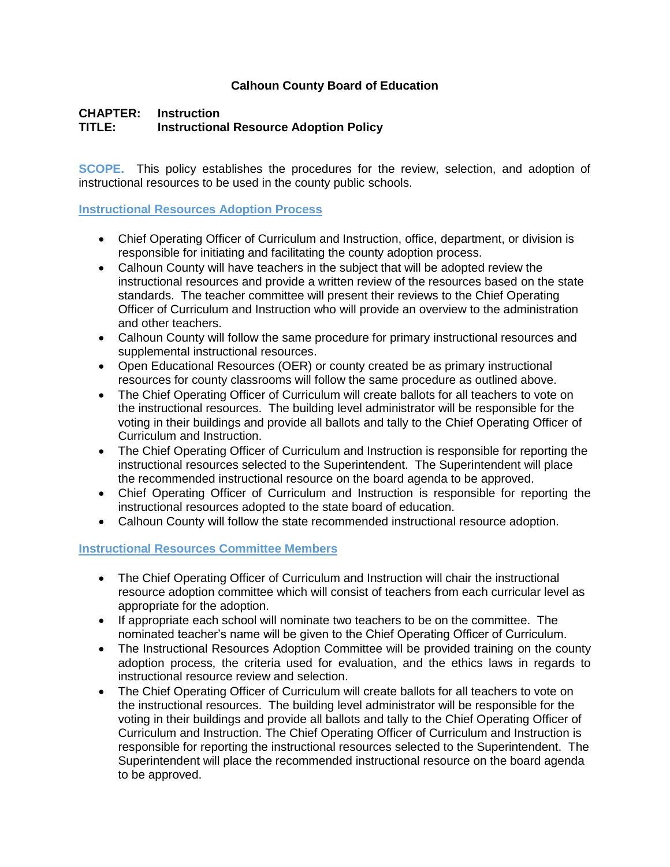### **Calhoun County Board of Education**

# **CHAPTER: Instruction TITLE: Instructional Resource Adoption Policy**

**SCOPE.** This policy establishes the procedures for the review, selection, and adoption of instructional resources to be used in the county public schools.

#### **Instructional Resources Adoption Process**

- Chief Operating Officer of Curriculum and Instruction, office, department, or division is responsible for initiating and facilitating the county adoption process.
- Calhoun County will have teachers in the subject that will be adopted review the instructional resources and provide a written review of the resources based on the state standards. The teacher committee will present their reviews to the Chief Operating Officer of Curriculum and Instruction who will provide an overview to the administration and other teachers.
- Calhoun County will follow the same procedure for primary instructional resources and supplemental instructional resources.
- Open Educational Resources (OER) or county created be as primary instructional resources for county classrooms will follow the same procedure as outlined above.
- The Chief Operating Officer of Curriculum will create ballots for all teachers to vote on the instructional resources. The building level administrator will be responsible for the voting in their buildings and provide all ballots and tally to the Chief Operating Officer of Curriculum and Instruction.
- The Chief Operating Officer of Curriculum and Instruction is responsible for reporting the instructional resources selected to the Superintendent. The Superintendent will place the recommended instructional resource on the board agenda to be approved.
- Chief Operating Officer of Curriculum and Instruction is responsible for reporting the instructional resources adopted to the state board of education.
- Calhoun County will follow the state recommended instructional resource adoption.

### **Instructional Resources Committee Members**

- The Chief Operating Officer of Curriculum and Instruction will chair the instructional resource adoption committee which will consist of teachers from each curricular level as appropriate for the adoption.
- If appropriate each school will nominate two teachers to be on the committee. The nominated teacher's name will be given to the Chief Operating Officer of Curriculum.
- The Instructional Resources Adoption Committee will be provided training on the county adoption process, the criteria used for evaluation, and the ethics laws in regards to instructional resource review and selection.
- The Chief Operating Officer of Curriculum will create ballots for all teachers to vote on the instructional resources. The building level administrator will be responsible for the voting in their buildings and provide all ballots and tally to the Chief Operating Officer of Curriculum and Instruction. The Chief Operating Officer of Curriculum and Instruction is responsible for reporting the instructional resources selected to the Superintendent. The Superintendent will place the recommended instructional resource on the board agenda to be approved.